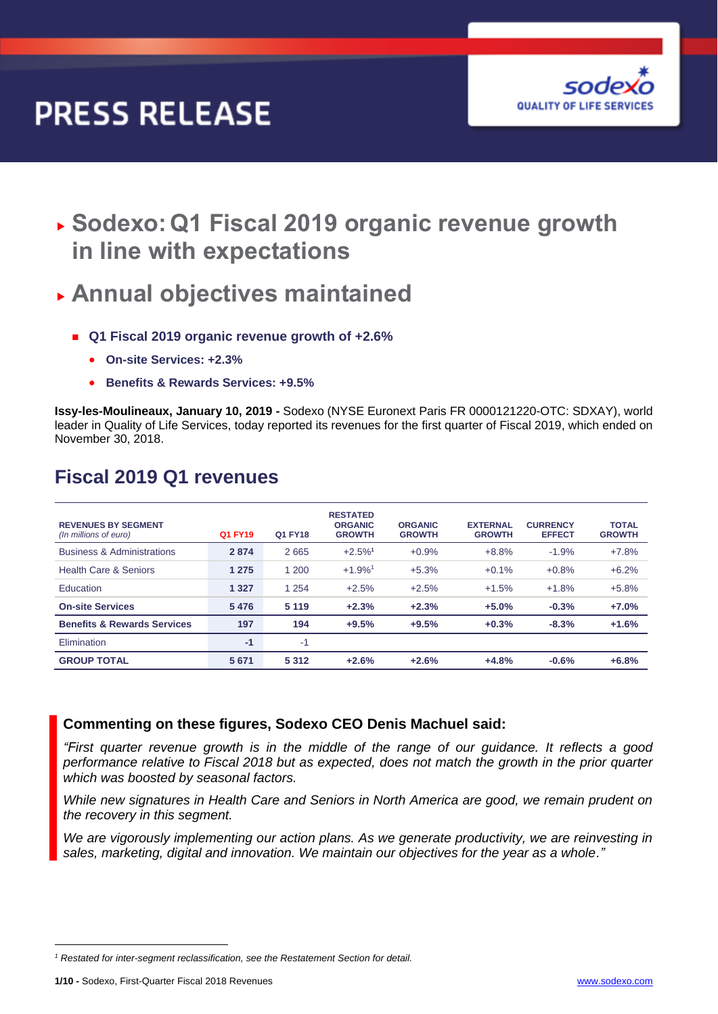# **PRESS RELEASE**



 **Sodexo:Q1 Fiscal 2019 organic revenue growth in line with expectations**

# **Annual objectives maintained**

- **Q1 Fiscal 2019 organic revenue growth of +2.6%** 
	- **On-site Services: +2.3%**
	- **Benefits & Rewards Services: +9.5%**

**Issy-les-Moulineaux, January 10, 2019 -** Sodexo (NYSE Euronext Paris FR 0000121220-OTC: SDXAY), world leader in Quality of Life Services, today reported its revenues for the first quarter of Fiscal 2019, which ended on November 30, 2018.

| <b>REVENUES BY SEGMENT</b><br>(In millions of euro) | Q1 FY19 | Q1 FY18 | <b>RESTATED</b><br><b>ORGANIC</b><br><b>GROWTH</b> | <b>ORGANIC</b><br><b>GROWTH</b> | <b>EXTERNAL</b><br><b>GROWTH</b> | <b>CURRENCY</b><br><b>EFFECT</b> | <b>TOTAL</b><br><b>GROWTH</b> |
|-----------------------------------------------------|---------|---------|----------------------------------------------------|---------------------------------|----------------------------------|----------------------------------|-------------------------------|
| <b>Business &amp; Administrations</b>               | 2874    | 2665    | $+2.5%$ <sup>1</sup>                               | $+0.9%$                         | $+8.8%$                          | $-1.9%$                          | $+7.8%$                       |
| Health Care & Seniors                               | 1 2 7 5 | 1 200   | $+1.9%$ <sup>1</sup>                               | $+5.3%$                         | $+0.1%$                          | $+0.8%$                          | $+6.2%$                       |
| <b>Education</b>                                    | 1 3 2 7 | 1 2 5 4 | $+2.5%$                                            | $+2.5%$                         | $+1.5%$                          | $+1.8%$                          | $+5.8%$                       |
| <b>On-site Services</b>                             | 5476    | 5 1 1 9 | $+2.3%$                                            | $+2.3%$                         | $+5.0%$                          | $-0.3%$                          | $+7.0%$                       |
| <b>Benefits &amp; Rewards Services</b>              | 197     | 194     | $+9.5%$                                            | $+9.5%$                         | $+0.3%$                          | $-8.3%$                          | $+1.6%$                       |
| Elimination                                         | $-1$    | -1      |                                                    |                                 |                                  |                                  |                               |
| <b>GROUP TOTAL</b>                                  | 5 6 7 1 | 5 3 1 2 | $+2.6%$                                            | $+2.6%$                         | $+4.8%$                          | $-0.6%$                          | $+6.8%$                       |

### **Fiscal 2019 Q1 revenues**

### **Commenting on these figures, Sodexo CEO Denis Machuel said:**

*"First quarter revenue growth is in the middle of the range of our guidance. It reflects a good performance relative to Fiscal 2018 but as expected, does not match the growth in the prior quarter which was boosted by seasonal factors.*

*While new signatures in Health Care and Seniors in North America are good, we remain prudent on the recovery in this segment.*

*We are vigorously implementing our action plans. As we generate productivity, we are reinvesting in sales, marketing, digital and innovation. We maintain our objectives for the year as a whole."*

 $\overline{a}$ 

*<sup>1</sup> Restated for inter-segment reclassification, see the Restatement Section for detail.*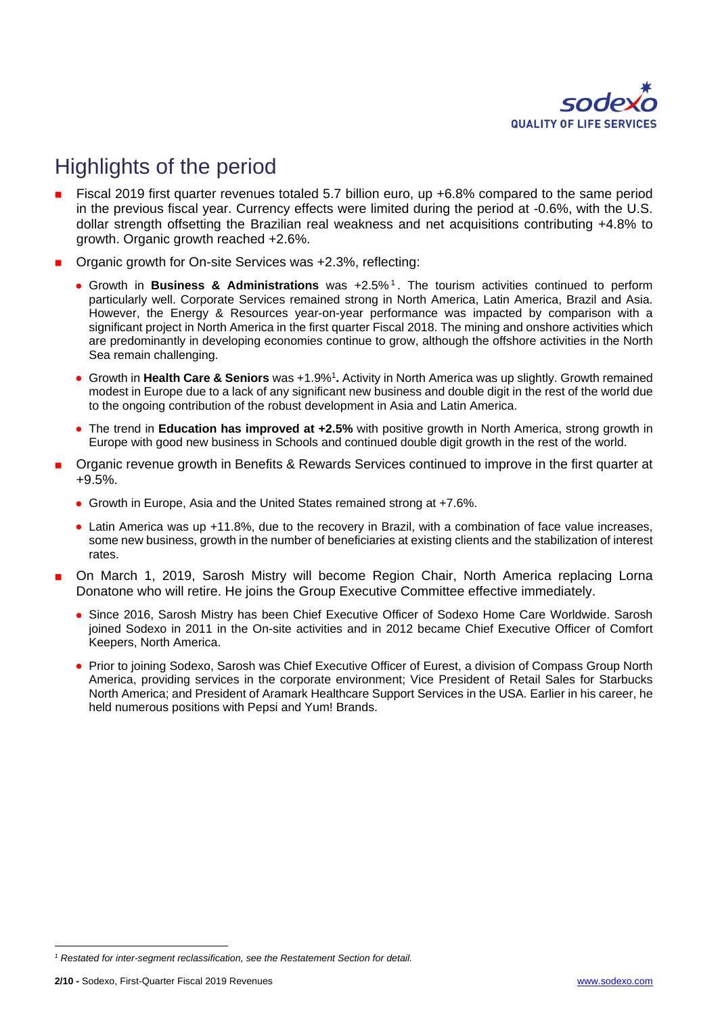

# Highlights of the period

- Fiscal 2019 first quarter revenues totaled 5.7 billion euro, up +6.8% compared to the same period in the previous fiscal year. Currency effects were limited during the period at -0.6%, with the U.S. dollar strength offsetting the Brazilian real weakness and net acquisitions contributing +4.8% to growth. Organic growth reached +2.6%.
- Organic growth for On-site Services was +2.3%, reflecting:
	- Growth in **Business & Administrations** was +2.5% <sup>1</sup> . The tourism activities continued to perform particularly well. Corporate Services remained strong in North America, Latin America, Brazil and Asia. However, the Energy & Resources year-on-year performance was impacted by comparison with a significant project in North America in the first quarter Fiscal 2018. The mining and onshore activities which are predominantly in developing economies continue to grow, although the offshore activities in the North Sea remain challenging.
	- **Growth in Health Care & Seniors** was +1.9%<sup>1</sup>. Activity in North America was up slightly. Growth remained modest in Europe due to a lack of any significant new business and double digit in the rest of the world due to the ongoing contribution of the robust development in Asia and Latin America.
	- The trend in **Education has improved at +2.5%** with positive growth in North America, strong growth in Europe with good new business in Schools and continued double digit growth in the rest of the world.
- Organic revenue growth in Benefits & Rewards Services continued to improve in the first quarter at +9.5%.
	- Growth in Europe, Asia and the United States remained strong at +7.6%.
	- Latin America was up +11.8%, due to the recovery in Brazil, with a combination of face value increases, some new business, growth in the number of beneficiaries at existing clients and the stabilization of interest rates.
- On March 1, 2019, Sarosh Mistry will become Region Chair, North America replacing Lorna Donatone who will retire. He joins the Group Executive Committee effective immediately.
	- Since 2016, Sarosh Mistry has been Chief Executive Officer of Sodexo Home Care Worldwide. Sarosh joined Sodexo in 2011 in the On-site activities and in 2012 became Chief Executive Officer of Comfort Keepers, North America.
	- Prior to joining Sodexo, Sarosh was Chief Executive Officer of Eurest, a division of Compass Group North America, providing services in the corporate environment; Vice President of Retail Sales for Starbucks North America; and President of Aramark Healthcare Support Services in the USA. Earlier in his career, he held numerous positions with Pepsi and Yum! Brands.

1

*<sup>1</sup> Restated for inter-segment reclassification, see the Restatement Section for detail.*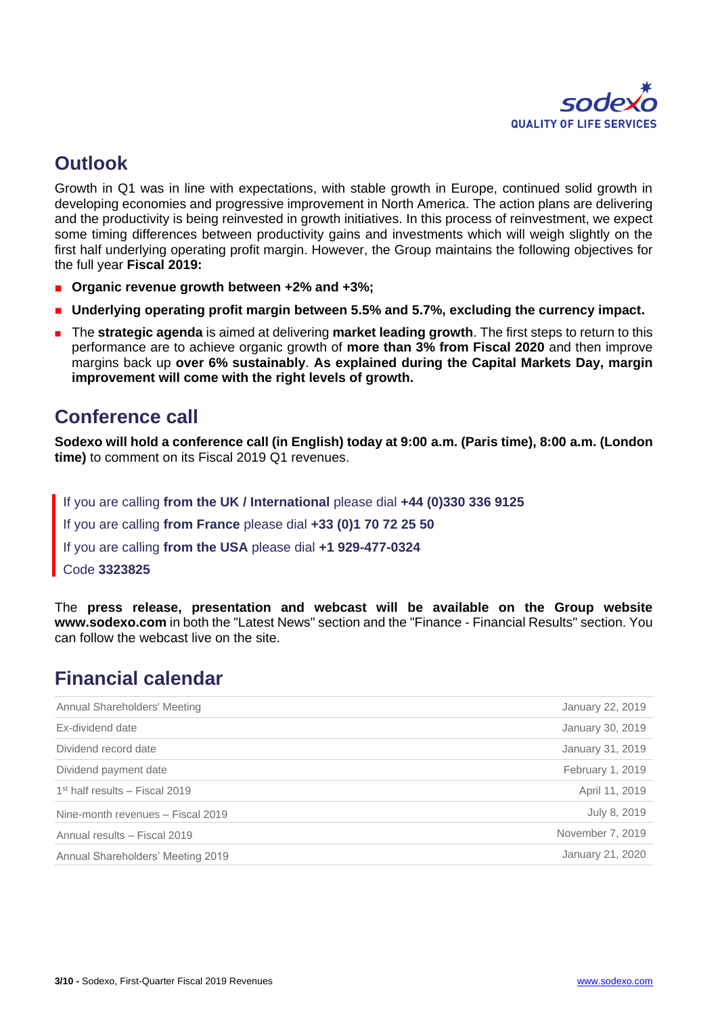

### **Outlook**

Growth in Q1 was in line with expectations, with stable growth in Europe, continued solid growth in developing economies and progressive improvement in North America. The action plans are delivering and the productivity is being reinvested in growth initiatives. In this process of reinvestment, we expect some timing differences between productivity gains and investments which will weigh slightly on the first half underlying operating profit margin. However, the Group maintains the following objectives for the full year **Fiscal 2019:**

- **Organic revenue growth between +2% and +3%;**
- **Underlying operating profit margin between 5.5% and 5.7%, excluding the currency impact.**
- **The strategic agenda** is aimed at delivering **market leading growth**. The first steps to return to this performance are to achieve organic growth of **more than 3% from Fiscal 2020** and then improve margins back up **over 6% sustainably**. **As explained during the Capital Markets Day, margin improvement will come with the right levels of growth.**

### **Conference call**

**Sodexo will hold a conference call (in English) today at 9:00 a.m. (Paris time), 8:00 a.m. (London time)** to comment on its Fiscal 2019 Q1 revenues.

If you are calling **from the UK / International** please dial **+44 (0)330 336 9125** If you are calling **from France** please dial **+33 (0)1 70 72 25 50** If you are calling **from the USA** please dial **+1 929-477-0324** Code **3323825**

The **press release, presentation and webcast will be available on the Group website [www.sodexo.com](http://www.sodexo.com/)** in both the "Latest News" section and the "Finance - Financial Results" section. You can follow the webcast live on the site.

### **Financial calendar**

| Annual Shareholders' Meeting      | January 22, 2019 |
|-----------------------------------|------------------|
| Ex-dividend date                  | January 30, 2019 |
| Dividend record date              | January 31, 2019 |
| Dividend payment date             | February 1, 2019 |
| $1st$ half results – Fiscal 2019  | April 11, 2019   |
| Nine-month revenues - Fiscal 2019 | July 8, 2019     |
| Annual results - Fiscal 2019      | November 7, 2019 |
| Annual Shareholders' Meeting 2019 | January 21, 2020 |
|                                   |                  |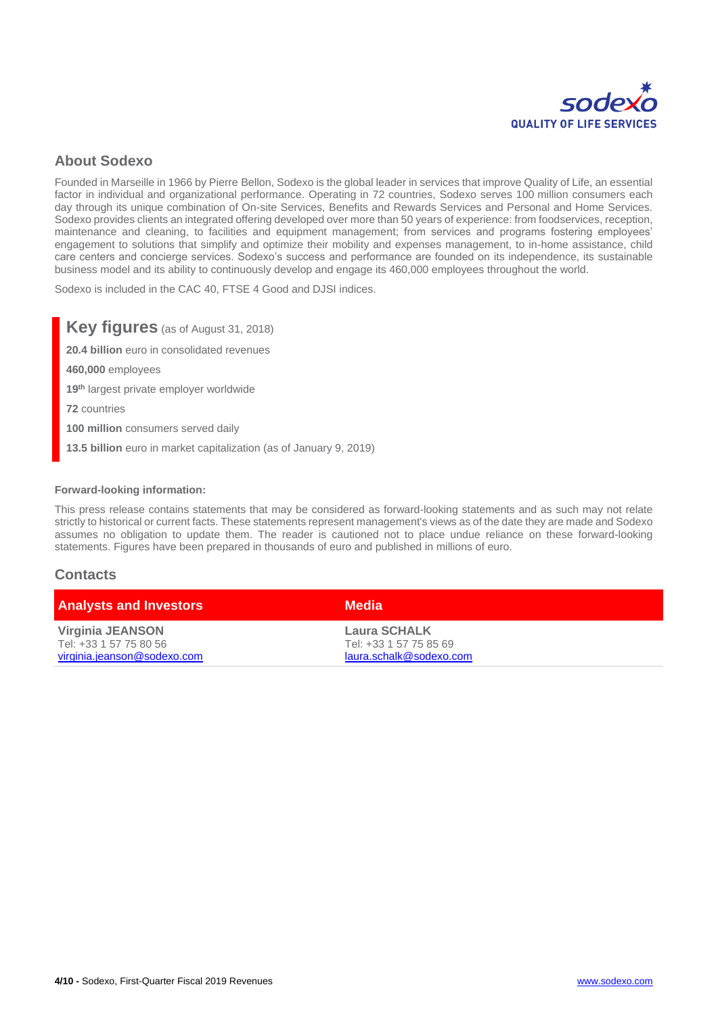

### **About Sodexo**

Founded in Marseille in 1966 by Pierre Bellon, Sodexo is the global leader in services that improve Quality of Life, an essential factor in individual and organizational performance. Operating in 72 countries, Sodexo serves 100 million consumers each day through its unique combination of On-site Services, Benefits and Rewards Services and Personal and Home Services. Sodexo provides clients an integrated offering developed over more than 50 years of experience: from foodservices, reception, maintenance and cleaning, to facilities and equipment management; from services and programs fostering employees' engagement to solutions that simplify and optimize their mobility and expenses management, to in-home assistance, child care centers and concierge services. Sodexo's success and performance are founded on its independence, its sustainable business model and its ability to continuously develop and engage its 460,000 employees throughout the world.

Sodexo is included in the CAC 40, FTSE 4 Good and DJSI indices.

**Key figures** (as of August 31, 2018) **20.4 billion** euro in consolidated revenues **460,000** employees **19th** largest private employer worldwide **72** countries **100 million** consumers served daily **13.5 billion** euro in market capitalization (as of January 9, 2019)

#### **Forward-looking information:**

This press release contains statements that may be considered as forward-looking statements and as such may not relate strictly to historical or current facts. These statements represent management's views as of the date they are made and Sodexo assumes no obligation to update them. The reader is cautioned not to place undue reliance on these forward-looking statements. Figures have been prepared in thousands of euro and published in millions of euro.

#### **Contacts**

| <b>Analysts and Investors</b> | <b>Media</b>            |
|-------------------------------|-------------------------|
| Virginia JEANSON              | <b>Laura SCHALK</b>     |
| Tel: +33 1 57 75 80 56        | Tel: +33 1 57 75 85 69  |
| virginia.jeanson@sodexo.com   | laura.schalk@sodexo.com |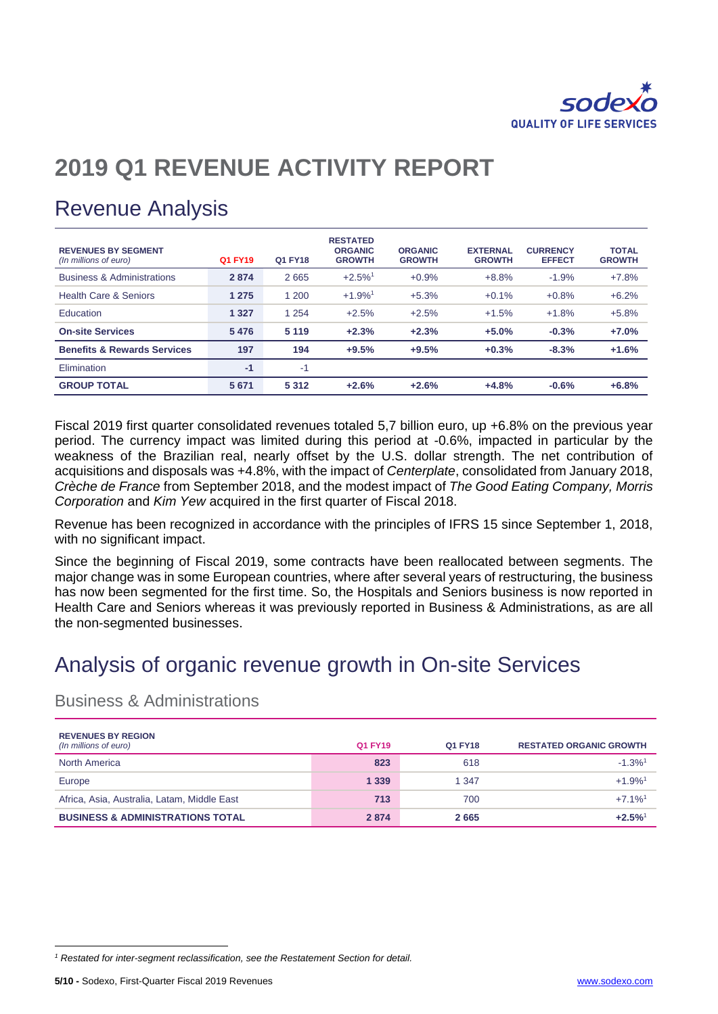

# **2019 Q1 REVENUE ACTIVITY REPORT**

# Revenue Analysis

| <b>REVENUES BY SEGMENT</b><br>(In millions of euro) | Q1 FY19 | Q1 FY18 | <b>RESTATED</b><br><b>ORGANIC</b><br><b>GROWTH</b> | <b>ORGANIC</b><br><b>GROWTH</b> | <b>EXTERNAL</b><br><b>GROWTH</b> | <b>CURRENCY</b><br><b>EFFECT</b> | <b>TOTAL</b><br><b>GROWTH</b> |
|-----------------------------------------------------|---------|---------|----------------------------------------------------|---------------------------------|----------------------------------|----------------------------------|-------------------------------|
| <b>Business &amp; Administrations</b>               | 2874    | 2665    | $+2.5\%$ <sup>1</sup>                              | $+0.9%$                         | $+8.8%$                          | $-1.9%$                          | $+7.8%$                       |
| <b>Health Care &amp; Seniors</b>                    | 1 2 7 5 | 1 200   | $+1.9%$ <sup>1</sup>                               | $+5.3%$                         | $+0.1%$                          | $+0.8%$                          | $+6.2%$                       |
| Education                                           | 1 3 2 7 | 1 2 5 4 | $+2.5%$                                            | $+2.5%$                         | $+1.5%$                          | $+1.8%$                          | $+5.8%$                       |
| <b>On-site Services</b>                             | 5476    | 5 1 1 9 | $+2.3%$                                            | $+2.3%$                         | $+5.0%$                          | $-0.3%$                          | $+7.0%$                       |
| <b>Benefits &amp; Rewards Services</b>              | 197     | 194     | $+9.5%$                                            | $+9.5%$                         | $+0.3%$                          | $-8.3%$                          | $+1.6%$                       |
| Elimination                                         | $-1$    | $-1$    |                                                    |                                 |                                  |                                  |                               |
| <b>GROUP TOTAL</b>                                  | 5 6 7 1 | 5 3 1 2 | $+2.6%$                                            | $+2.6%$                         | $+4.8%$                          | $-0.6%$                          | $+6.8%$                       |

Fiscal 2019 first quarter consolidated revenues totaled 5,7 billion euro, up +6.8% on the previous year period. The currency impact was limited during this period at -0.6%, impacted in particular by the weakness of the Brazilian real, nearly offset by the U.S. dollar strength. The net contribution of acquisitions and disposals was +4.8%, with the impact of *Centerplate*, consolidated from January 2018, *Crèche de France* from September 2018, and the modest impact of *The Good Eating Company, Morris Corporation* and *Kim Yew* acquired in the first quarter of Fiscal 2018.

Revenue has been recognized in accordance with the principles of IFRS 15 since September 1, 2018, with no significant impact.

Since the beginning of Fiscal 2019, some contracts have been reallocated between segments. The major change was in some European countries, where after several years of restructuring, the business has now been segmented for the first time. So, the Hospitals and Seniors business is now reported in Health Care and Seniors whereas it was previously reported in Business & Administrations, as are all the non-segmented businesses.

# Analysis of organic revenue growth in On-site Services

### Business & Administrations

| <b>REVENUES BY REGION</b><br>(In millions of euro) | Q1 FY19 | Q1 FY18 | <b>RESTATED ORGANIC GROWTH</b> |
|----------------------------------------------------|---------|---------|--------------------------------|
| <b>North America</b>                               | 823     | 618     | $-1.3\%$ <sup>1</sup>          |
| Europe                                             | 1 3 3 9 | 1 3 4 7 | $+1.9%$ <sup>1</sup>           |
| Africa, Asia, Australia, Latam, Middle East        | 713     | 700     | $+7.1\%$ <sup>1</sup>          |
| <b>BUSINESS &amp; ADMINISTRATIONS TOTAL</b>        | 2874    | 2665    | $+2.5%$ <sup>1</sup>           |

1

*<sup>1</sup> Restated for inter-segment reclassification, see the Restatement Section for detail.*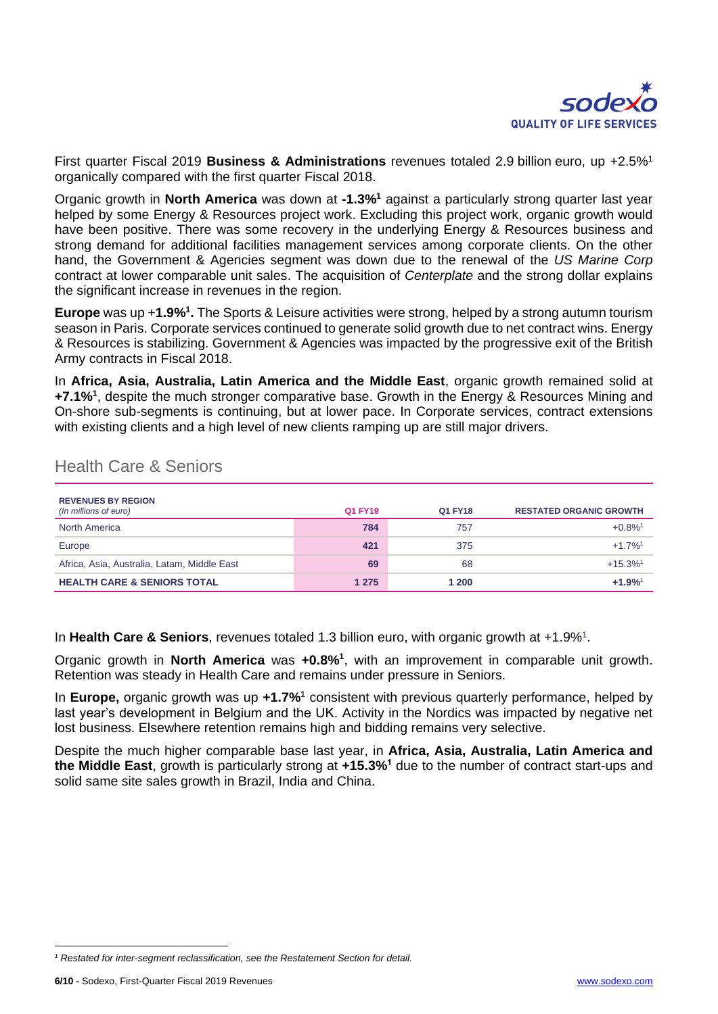

First quarter Fiscal 2019 **Business & Administrations** revenues totaled 2.9 billion euro, up +2.5%<sup>1</sup> organically compared with the first quarter Fiscal 2018.

Organic growth in **North America** was down at **-1.3%<sup>1</sup>** against a particularly strong quarter last year helped by some Energy & Resources project work. Excluding this project work, organic growth would have been positive. There was some recovery in the underlying Energy & Resources business and strong demand for additional facilities management services among corporate clients. On the other hand, the Government & Agencies segment was down due to the renewal of the *US Marine Corp* contract at lower comparable unit sales. The acquisition of *Centerplate* and the strong dollar explains the significant increase in revenues in the region.

**Europe** was up +**1.9%<sup>1</sup> .** The Sports & Leisure activities were strong, helped by a strong autumn tourism season in Paris. Corporate services continued to generate solid growth due to net contract wins. Energy & Resources is stabilizing. Government & Agencies was impacted by the progressive exit of the British Army contracts in Fiscal 2018.

In **Africa, Asia, Australia, Latin America and the Middle East**, organic growth remained solid at **+7.1%<sup>1</sup>** , despite the much stronger comparative base. Growth in the Energy & Resources Mining and On-shore sub-segments is continuing, but at lower pace. In Corporate services, contract extensions with existing clients and a high level of new clients ramping up are still major drivers.

| <b>REVENUES BY REGION</b><br>(In millions of euro) | Q1 FY19 | Q1 FY18 | <b>RESTATED ORGANIC GROWTH</b> |
|----------------------------------------------------|---------|---------|--------------------------------|
| <b>North America</b>                               | 784     | 757     | $+0.8\%$ <sup>1</sup>          |
| Europe                                             | 421     | 375     | $+1.7%$ <sup>1</sup>           |
| Africa, Asia, Australia, Latam, Middle East        | 69      | 68      | $+15.3%$ <sup>1</sup>          |
| <b>HEALTH CARE &amp; SENIORS TOTAL</b>             | 1 2 7 5 | 1 200   | $+1.9%$ <sup>1</sup>           |

### Health Care & Seniors

In Health Care & Seniors, revenues totaled 1.3 billion euro, with organic growth at +1.9%<sup>1</sup>.

Organic growth in **North America** was **+0.8%<sup>1</sup>** , with an improvement in comparable unit growth. Retention was steady in Health Care and remains under pressure in Seniors.

In **Europe,** organic growth was up **+1.7%<sup>1</sup>** consistent with previous quarterly performance, helped by last year's development in Belgium and the UK. Activity in the Nordics was impacted by negative net lost business. Elsewhere retention remains high and bidding remains very selective.

Despite the much higher comparable base last year, in **Africa, Asia, Australia, Latin America and the Middle East**, growth is particularly strong at **+15.3%<sup>1</sup>** due to the number of contract start-ups and solid same site sales growth in Brazil, India and China.

1

*<sup>1</sup> Restated for inter-segment reclassification, see the Restatement Section for detail.*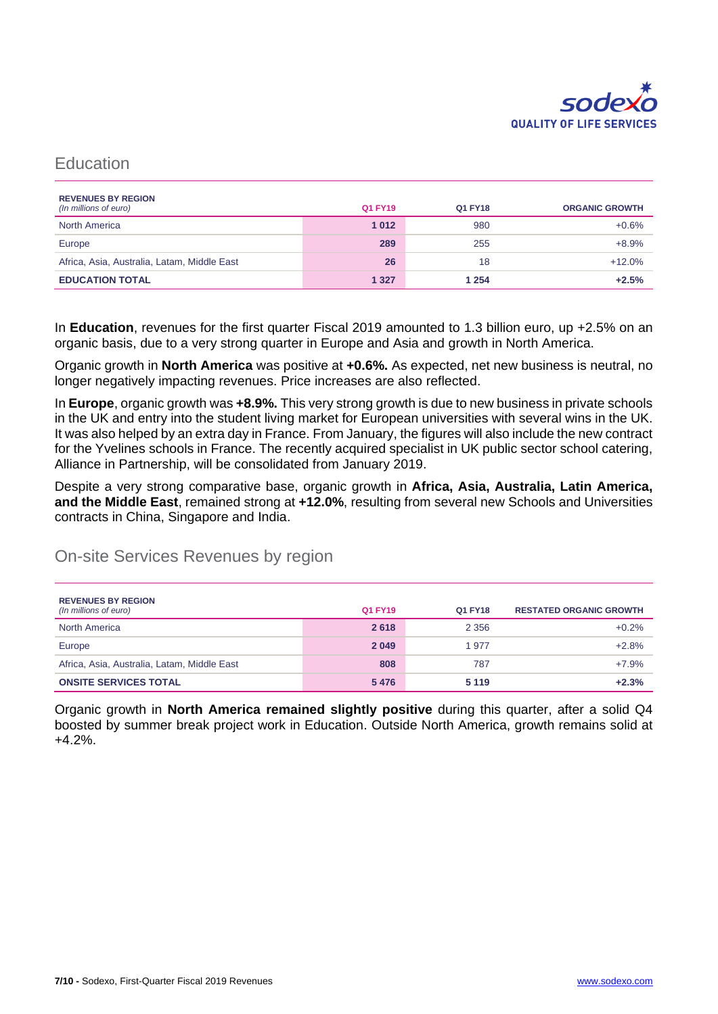

### **Education**

| <b>REVENUES BY REGION</b><br>(In millions of euro) | Q1 FY19 | Q1 FY18 | <b>ORGANIC GROWTH</b> |
|----------------------------------------------------|---------|---------|-----------------------|
| <b>North America</b>                               | 1012    | 980     | $+0.6%$               |
| Europe                                             | 289     | 255     | $+8.9%$               |
| Africa, Asia, Australia, Latam, Middle East        | 26      | 18      | $+12.0%$              |
| <b>EDUCATION TOTAL</b>                             | 1 3 2 7 | 1 2 5 4 | $+2.5%$               |

In **Education**, revenues for the first quarter Fiscal 2019 amounted to 1.3 billion euro, up +2.5% on an organic basis, due to a very strong quarter in Europe and Asia and growth in North America.

Organic growth in **North America** was positive at **+0.6%.** As expected, net new business is neutral, no longer negatively impacting revenues. Price increases are also reflected.

In **Europe**, organic growth was **+8.9%.** This very strong growth is due to new business in private schools in the UK and entry into the student living market for European universities with several wins in the UK. It was also helped by an extra day in France. From January, the figures will also include the new contract for the Yvelines schools in France. The recently acquired specialist in UK public sector school catering, Alliance in Partnership, will be consolidated from January 2019.

Despite a very strong comparative base, organic growth in **Africa, Asia, Australia, Latin America, and the Middle East**, remained strong at **+12.0%**, resulting from several new Schools and Universities contracts in China, Singapore and India.

### On-site Services Revenues by region

| <b>REVENUES BY REGION</b><br>(In millions of euro) | Q1 FY19 | Q1 FY18 | <b>RESTATED ORGANIC GROWTH</b> |
|----------------------------------------------------|---------|---------|--------------------------------|
| <b>North America</b>                               | 2618    | 2 3 5 6 | $+0.2%$                        |
| Europe                                             | 2 0 4 9 | 1977    | $+2.8%$                        |
| Africa, Asia, Australia, Latam, Middle East        | 808     | 787     | $+7.9%$                        |
| <b>ONSITE SERVICES TOTAL</b>                       | 5476    | 5 1 1 9 | $+2.3%$                        |

Organic growth in **North America remained slightly positive** during this quarter, after a solid Q4 boosted by summer break project work in Education. Outside North America, growth remains solid at +4.2%.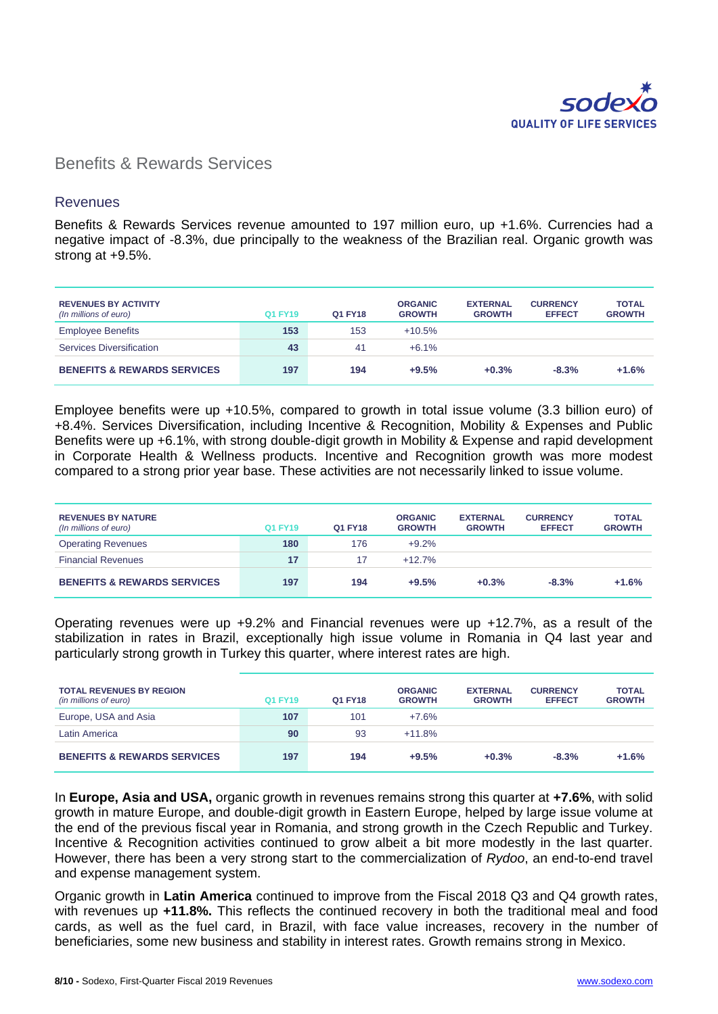

### Benefits & Rewards Services

#### **Revenues**

Benefits & Rewards Services revenue amounted to 197 million euro, up +1.6%. Currencies had a negative impact of -8.3%, due principally to the weakness of the Brazilian real. Organic growth was strong at +9.5%.

| <b>REVENUES BY ACTIVITY</b><br>(In millions of euro) | Q1 FY19 | Q1 FY18 | <b>ORGANIC</b><br><b>GROWTH</b> | <b>EXTERNAL</b><br><b>GROWTH</b> | <b>CURRENCY</b><br><b>EFFECT</b> | <b>TOTAL</b><br><b>GROWTH</b> |
|------------------------------------------------------|---------|---------|---------------------------------|----------------------------------|----------------------------------|-------------------------------|
| <b>Employee Benefits</b>                             | 153     | 153     | $+10.5%$                        |                                  |                                  |                               |
| <b>Services Diversification</b>                      | 43      | 41      | $+6.1%$                         |                                  |                                  |                               |
| <b>BENEFITS &amp; REWARDS SERVICES</b>               | 197     | 194     | $+9.5%$                         | $+0.3%$                          | $-8.3%$                          | $+1.6%$                       |

Employee benefits were up +10.5%, compared to growth in total issue volume (3.3 billion euro) of +8.4%. Services Diversification, including Incentive & Recognition, Mobility & Expenses and Public Benefits were up +6.1%, with strong double-digit growth in Mobility & Expense and rapid development in Corporate Health & Wellness products. Incentive and Recognition growth was more modest compared to a strong prior year base. These activities are not necessarily linked to issue volume.

| <b>REVENUES BY NATURE</b><br>(In millions of euro) | Q1 FY19 | Q1 FY18 | <b>ORGANIC</b><br><b>GROWTH</b> | <b>EXTERNAL</b><br><b>GROWTH</b> | <b>CURRENCY</b><br><b>EFFECT</b> | <b>TOTAL</b><br><b>GROWTH</b> |
|----------------------------------------------------|---------|---------|---------------------------------|----------------------------------|----------------------------------|-------------------------------|
| <b>Operating Revenues</b>                          | 180     | 176     | $+9.2%$                         |                                  |                                  |                               |
| <b>Financial Revenues</b>                          | 17      | 17      | $+12.7\%$                       |                                  |                                  |                               |
| <b>BENEFITS &amp; REWARDS SERVICES</b>             | 197     | 194     | $+9.5%$                         | $+0.3%$                          | $-8.3%$                          | $+1.6%$                       |

Operating revenues were up +9.2% and Financial revenues were up +12.7%, as a result of the stabilization in rates in Brazil, exceptionally high issue volume in Romania in Q4 last year and particularly strong growth in Turkey this quarter, where interest rates are high.

| <b>TOTAL REVENUES BY REGION</b><br>(in millions of euro) | Q1 FY19 | Q1 FY18 | <b>ORGANIC</b><br><b>GROWTH</b> | <b>EXTERNAL</b><br><b>GROWTH</b> | <b>CURRENCY</b><br><b>EFFECT</b> | <b>TOTAL</b><br><b>GROWTH</b> |
|----------------------------------------------------------|---------|---------|---------------------------------|----------------------------------|----------------------------------|-------------------------------|
| Europe, USA and Asia                                     | 107     | 101     | $+7.6%$                         |                                  |                                  |                               |
| <b>Latin America</b>                                     | 90      | 93      | $+11.8%$                        |                                  |                                  |                               |
| <b>BENEFITS &amp; REWARDS SERVICES</b>                   | 197     | 194     | $+9.5%$                         | $+0.3%$                          | $-8.3%$                          | $+1.6%$                       |

In **Europe, Asia and USA,** organic growth in revenues remains strong this quarter at **+7.6%**, with solid growth in mature Europe, and double-digit growth in Eastern Europe, helped by large issue volume at the end of the previous fiscal year in Romania, and strong growth in the Czech Republic and Turkey. Incentive & Recognition activities continued to grow albeit a bit more modestly in the last quarter. However, there has been a very strong start to the commercialization of *Rydoo*, an end-to-end travel and expense management system.

Organic growth in **Latin America** continued to improve from the Fiscal 2018 Q3 and Q4 growth rates, with revenues up **+11.8%.** This reflects the continued recovery in both the traditional meal and food cards, as well as the fuel card, in Brazil, with face value increases, recovery in the number of beneficiaries, some new business and stability in interest rates. Growth remains strong in Mexico.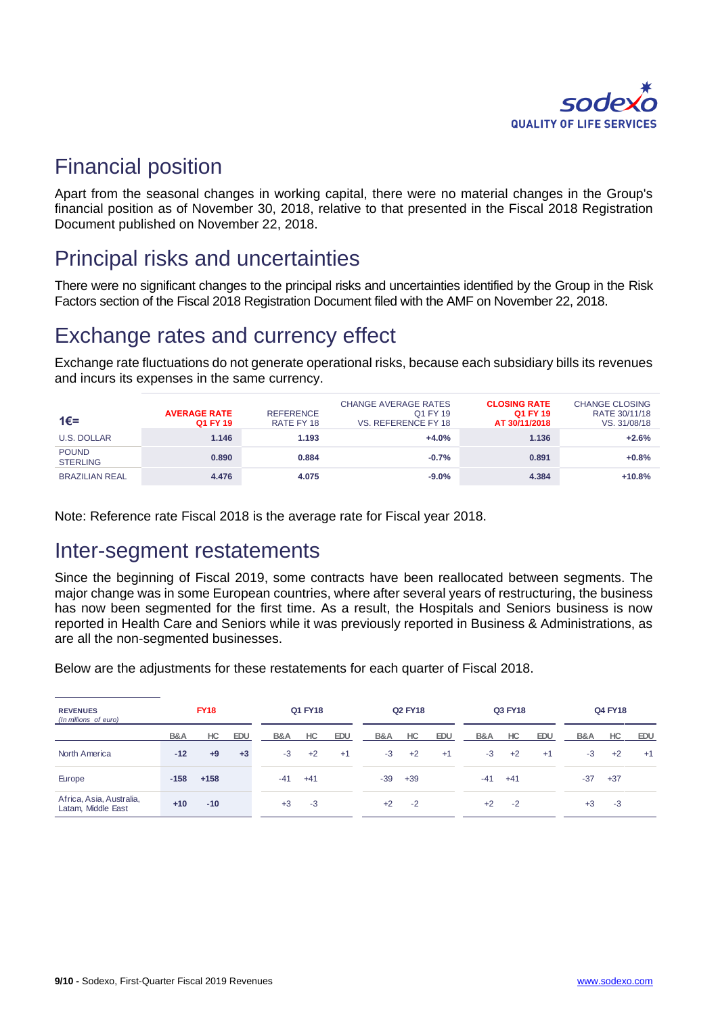

### Financial position

Apart from the seasonal changes in working capital, there were no material changes in the Group's financial position as of November 30, 2018, relative to that presented in the Fiscal 2018 Registration Document published on November 22, 2018.

# Principal risks and uncertainties

There were no significant changes to the principal risks and uncertainties identified by the Group in the Risk Factors section of the Fiscal 2018 Registration Document filed with the AMF on November 22, 2018.

# Exchange rates and currency effect

Exchange rate fluctuations do not generate operational risks, because each subsidiary bills its revenues and incurs its expenses in the same currency.

| 1€=                             | <b>AVERAGE RATE</b><br>Q1 FY 19 | <b>REFERENCE</b><br>RATE FY 18 | <b>CHANGE AVERAGE RATES</b><br>Q1 FY 19<br>VS. REFERENCE FY 18 | <b>CLOSING RATE</b><br>Q1 FY 19<br>AT 30/11/2018 | <b>CHANGE CLOSING</b><br>RATE 30/11/18<br>VS. 31/08/18 |
|---------------------------------|---------------------------------|--------------------------------|----------------------------------------------------------------|--------------------------------------------------|--------------------------------------------------------|
| <b>U.S. DOLLAR</b>              | 1.146                           | 1.193                          | $+4.0%$                                                        | 1.136                                            | $+2.6%$                                                |
| <b>POUND</b><br><b>STERLING</b> | 0.890                           | 0.884                          | $-0.7%$                                                        | 0.891                                            | $+0.8%$                                                |
| <b>BRAZILIAN REAL</b>           | 4.476                           | 4.075                          | $-9.0%$                                                        | 4.384                                            | $+10.8%$                                               |

Note: Reference rate Fiscal 2018 is the average rate for Fiscal year 2018.

### Inter-segment restatements

Since the beginning of Fiscal 2019, some contracts have been reallocated between segments. The major change was in some European countries, where after several years of restructuring, the business has now been segmented for the first time. As a result, the Hospitals and Seniors business is now reported in Health Care and Seniors while it was previously reported in Business & Administrations, as are all the non-segmented businesses.

Below are the adjustments for these restatements for each quarter of Fiscal 2018.

| <b>REVENUES</b><br>(In millions of euro)       | <b>FY18</b>    |        |      | Q1 FY18 |       |      | <b>Q2 FY18</b> |       |            | Q3 FY18 |       |            | Q4 FY18 |       |            |
|------------------------------------------------|----------------|--------|------|---------|-------|------|----------------|-------|------------|---------|-------|------------|---------|-------|------------|
|                                                | <b>B&amp;A</b> | HC.    | EDU  | B&A     | HC    | EDU  | B&A            | HC    | <b>EDU</b> | B&A     | HC    | <b>EDU</b> | B&A     | HC.   | <b>EDU</b> |
| North America                                  | $-12$          | $+9$   | $+3$ | $-3$    | $+2$  | $+1$ | $-3$           | $+2$  | $+1$       | $-3$    | $+2$  | $+1$       | $-3$    | $+2$  | $+1$       |
| Europe                                         | $-158$         | $+158$ |      | $-41$   | $+41$ |      | -39            | $+39$ |            | $-41$   | $+41$ |            | $-37$   | $+37$ |            |
| Africa, Asia, Australia,<br>Latam, Middle East | $+10$          | $-10$  |      | $+3$    | $-3$  |      | $+2$           | $-2$  |            | $+2$    | $-2$  |            | $+3$    | $-3$  |            |